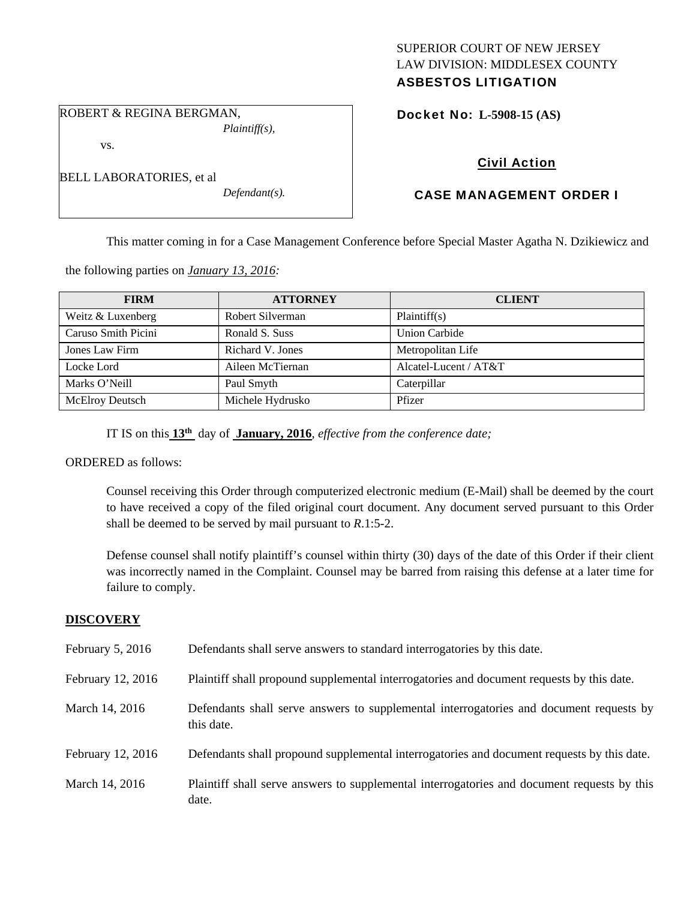## SUPERIOR COURT OF NEW JERSEY LAW DIVISION: MIDDLESEX COUNTY ASBESTOS LITIGATION

ROBERT & REGINA BERGMAN, *Plaintiff(s),* 

vs.

BELL LABORATORIES, et al

*Defendant(s).* 

Docket No: **L-5908-15 (AS)** 

# Civil Action

# CASE MANAGEMENT ORDER I

This matter coming in for a Case Management Conference before Special Master Agatha N. Dzikiewicz and

the following parties on *January 13, 2016:* 

| <b>FIRM</b>            | <b>ATTORNEY</b>  | <b>CLIENT</b>         |
|------------------------|------------------|-----------------------|
| Weitz & Luxenberg      | Robert Silverman | Plaintiff(s)          |
| Caruso Smith Picini    | Ronald S. Suss   | Union Carbide         |
| Jones Law Firm         | Richard V. Jones | Metropolitan Life     |
| Locke Lord             | Aileen McTiernan | Alcatel-Lucent / AT&T |
| Marks O'Neill          | Paul Smyth       | Caterpillar           |
| <b>McElroy Deutsch</b> | Michele Hydrusko | Pfizer                |

IT IS on this **13th** day of **January, 2016**, *effective from the conference date;*

ORDERED as follows:

Counsel receiving this Order through computerized electronic medium (E-Mail) shall be deemed by the court to have received a copy of the filed original court document. Any document served pursuant to this Order shall be deemed to be served by mail pursuant to *R*.1:5-2.

Defense counsel shall notify plaintiff's counsel within thirty (30) days of the date of this Order if their client was incorrectly named in the Complaint. Counsel may be barred from raising this defense at a later time for failure to comply.

# **DISCOVERY**

| February 5, 2016  | Defendants shall serve answers to standard interrogatories by this date.                              |
|-------------------|-------------------------------------------------------------------------------------------------------|
| February 12, 2016 | Plaintiff shall propound supplemental interrogatories and document requests by this date.             |
| March 14, 2016    | Defendants shall serve answers to supplemental interrogatories and document requests by<br>this date. |
| February 12, 2016 | Defendants shall propound supplemental interrogatories and document requests by this date.            |
| March 14, 2016    | Plaintiff shall serve answers to supplemental interrogatories and document requests by this<br>date.  |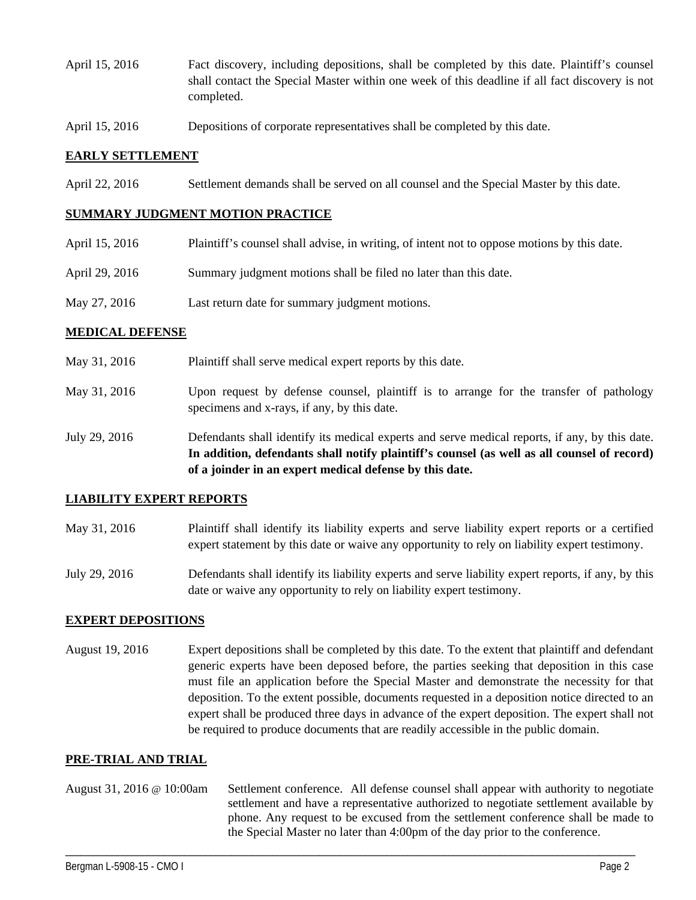- April 15, 2016 Fact discovery, including depositions, shall be completed by this date. Plaintiff's counsel shall contact the Special Master within one week of this deadline if all fact discovery is not completed.
- April 15, 2016 Depositions of corporate representatives shall be completed by this date.

### **EARLY SETTLEMENT**

April 22, 2016 Settlement demands shall be served on all counsel and the Special Master by this date.

### **SUMMARY JUDGMENT MOTION PRACTICE**

| April 15, 2016 | Plaintiff's counsel shall advise, in writing, of intent not to oppose motions by this date. |
|----------------|---------------------------------------------------------------------------------------------|
| April 29, 2016 | Summary judgment motions shall be filed no later than this date.                            |
| May 27, 2016   | Last return date for summary judgment motions.                                              |

#### **MEDICAL DEFENSE**

- May 31, 2016 Plaintiff shall serve medical expert reports by this date.
- May 31, 2016 Upon request by defense counsel, plaintiff is to arrange for the transfer of pathology specimens and x-rays, if any, by this date.
- July 29, 2016 Defendants shall identify its medical experts and serve medical reports, if any, by this date. **In addition, defendants shall notify plaintiff's counsel (as well as all counsel of record) of a joinder in an expert medical defense by this date.**

#### **LIABILITY EXPERT REPORTS**

- May 31, 2016 Plaintiff shall identify its liability experts and serve liability expert reports or a certified expert statement by this date or waive any opportunity to rely on liability expert testimony.
- July 29, 2016 Defendants shall identify its liability experts and serve liability expert reports, if any, by this date or waive any opportunity to rely on liability expert testimony.

### **EXPERT DEPOSITIONS**

August 19, 2016 Expert depositions shall be completed by this date. To the extent that plaintiff and defendant generic experts have been deposed before, the parties seeking that deposition in this case must file an application before the Special Master and demonstrate the necessity for that deposition. To the extent possible, documents requested in a deposition notice directed to an expert shall be produced three days in advance of the expert deposition. The expert shall not be required to produce documents that are readily accessible in the public domain.

#### **PRE-TRIAL AND TRIAL**

August 31, 2016 @ 10:00am Settlement conference. All defense counsel shall appear with authority to negotiate settlement and have a representative authorized to negotiate settlement available by phone. Any request to be excused from the settlement conference shall be made to the Special Master no later than 4:00pm of the day prior to the conference.

\_\_\_\_\_\_\_\_\_\_\_\_\_\_\_\_\_\_\_\_\_\_\_\_\_\_\_\_\_\_\_\_\_\_\_\_\_\_\_\_\_\_\_\_\_\_\_\_\_\_\_\_\_\_\_\_\_\_\_\_\_\_\_\_\_\_\_\_\_\_\_\_\_\_\_\_\_\_\_\_\_\_\_\_\_\_\_\_\_\_\_\_\_\_\_\_\_\_\_\_\_\_\_\_\_\_\_\_\_\_